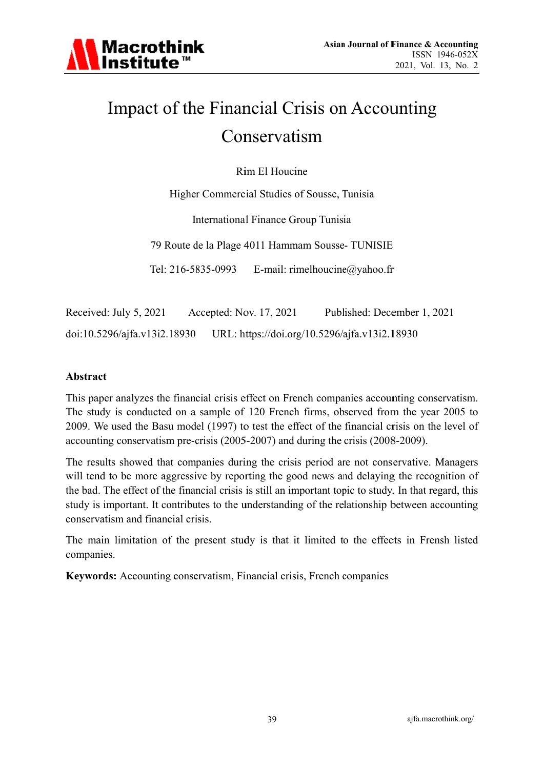

# Impact of the Financial Crisis on Accounting Conservatism

Rim El Houcine

Higher Commercial Studies of Sousse, Tunisia

International Finance Group Tunisia

79 Route de la Plage 4011 Hammam Sousse-TUNISIE

Tel: 216-5835-0993 E-mail: rimelhoucine@yahoo.fr

Received: July 5, 2021 Accepted: Nov. 17, 2021 Published: December 1, 2021 doi:10.5296/ajfa.v13i2.18930 URL: https://doi.org/10.5296/ajfa.v13i2.18930

#### **Abstract**

This paper analyzes the financial crisis effect on French companies accounting conservatism. The study is conducted on a sample of 120 French firms, observed from the year 2005 to 2009. We used the Basu model (1997) to test the effect of the financial crisis on the level of accounting conservatism pre-crisis (2005-2007) and during the crisis (2008-2009).

The results showed that companies during the crisis period are not conservative. Managers will tend to be more aggressive by reporting the good news and delaying the recognition of the bad. The effect of the financial crisis is still an important topic to study. In that regard, this study is important. It contributes to the understanding of the relationship between accounting conservatism and financial crisis.

The main limitation of the present study is that it limited to the effects in Frensh listed companies.

Keywords: Accounting conservatism, Financial crisis, French companies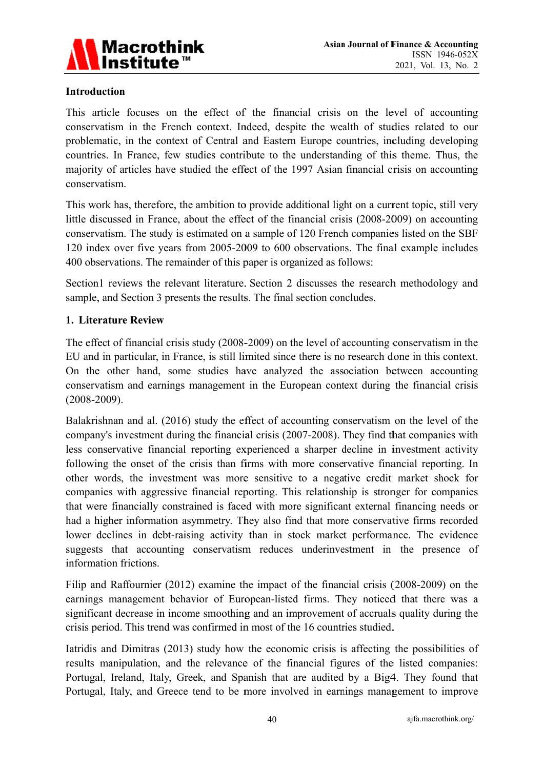

#### **Introduction**

This article focuses on the effect of the financial crisis on the level of accounting conservatism in the French context. Indeed, despite the wealth of studies related to our problematic, in the context of Central and Eastern Europe countries, including developing countries. In France, few studies contribute to the understanding of this theme. Thus, the majority of articles have studied the effect of the 1997 Asian financial crisis on accounting conservatism.

This work has, therefore, the ambition to provide additional light on a current topic, still very little discussed in France, about the effect of the financial crisis (2008-2009) on accounting conservatism. The study is estimated on a sample of 120 French companies listed on the SBF 120 index over five years from 2005-2009 to 600 observations. The final example includes 400 observations. The remainder of this paper is organized as follows:

Section1 reviews the relevant literature. Section 2 discusses the research methodology and sample, and Section 3 presents the results. The final section concludes.

#### 1. Literature Review

The effect of financial crisis study (2008-2009) on the level of accounting conservatism in the EU and in particular, in France, is still limited since there is no research done in this context. On the other hand, some studies have analyzed the association between accounting conservatism and earnings management in the European context during the financial crisis  $(2008 - 2009)$ .

Balakrishnan and al. (2016) study the effect of accounting conservatism on the level of the company's investment during the financial crisis (2007-2008). They find that companies with less conservative financial reporting experienced a sharper decline in investment activity following the onset of the crisis than firms with more conservative financial reporting. In other words, the investment was more sensitive to a negative credit market shock for companies with aggressive financial reporting. This relationship is stronger for companies that were financially constrained is faced with more significant external financing needs or had a higher information asymmetry. They also find that more conservative firms recorded lower declines in debt-raising activity than in stock market performance. The evidence suggests that accounting conservatism reduces underinvestment in the presence of information frictions.

Filip and Raffournier (2012) examine the impact of the financial crisis (2008-2009) on the earnings management behavior of European-listed firms. They noticed that there was a significant decrease in income smoothing and an improvement of accruals quality during the crisis period. This trend was confirmed in most of the 16 countries studied.

Iatridis and Dimitras (2013) study how the economic crisis is affecting the possibilities of results manipulation, and the relevance of the financial figures of the listed companies: Portugal, Ireland, Italy, Greek, and Spanish that are audited by a Big4. They found that Portugal, Italy, and Greece tend to be more involved in earnings management to improve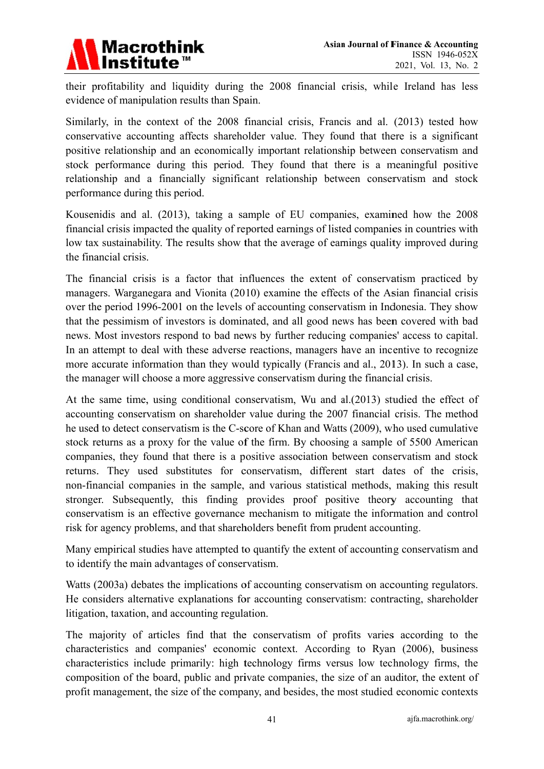

their profitability and liquidity during the 2008 financial crisis, while Ireland has less evidence of manipulation results than Spain.

Similarly, in the context of the 2008 financial crisis, Francis and al. (2013) tested how conservative accounting affects shareholder value. They found that there is a significant positive relationship and an economically important relationship between conservatism and stock performance during this period. They found that there is a meaningful positive relationship and a financially significant relationship between conservatism and stock performance during this period.

Kousenidis and al. (2013), taking a sample of EU companies, examined how the 2008 financial crisis impacted the quality of reported earnings of listed companies in countries with low tax sustainability. The results show that the average of earnings quality improved during the financial crisis.

The financial crisis is a factor that influences the extent of conservatism practiced by managers. Warganegara and Vionita (2010) examine the effects of the Asian financial crisis over the period 1996-2001 on the levels of accounting conservatism in Indonesia. They show that the pessimism of investors is dominated, and all good news has been covered with bad news. Most investors respond to bad news by further reducing companies' access to capital. In an attempt to deal with these adverse reactions, managers have an incentive to recognize more accurate information than they would typically (Francis and al., 2013). In such a case, the manager will choose a more aggressive conservatism during the financial crisis.

At the same time, using conditional conservatism, Wu and al. (2013) studied the effect of accounting conservatism on shareholder value during the 2007 financial crisis. The method he used to detect conservatism is the C-score of Khan and Watts (2009), who used cumulative stock returns as a proxy for the value of the firm. By choosing a sample of 5500 American companies, they found that there is a positive association between conservatism and stock returns. They used substitutes for conservatism, different start dates of the crisis, non-financial companies in the sample, and various statistical methods, making this result stronger. Subsequently, this finding provides proof positive theory accounting that conservatism is an effective governance mechanism to mitigate the information and control risk for agency problems, and that shareholders benefit from prudent accounting.

Many empirical studies have attempted to quantify the extent of accounting conservatism and to identify the main advantages of conservatism.

Watts (2003a) debates the implications of accounting conservatism on accounting regulators. He considers alternative explanations for accounting conservatism: contracting, shareholder litigation, taxation, and accounting regulation.

The majority of articles find that the conservatism of profits varies according to the characteristics and companies' economic context. According to Ryan (2006), business characteristics include primarily: high technology firms versus low technology firms, the composition of the board, public and private companies, the size of an auditor, the extent of profit management, the size of the company, and besides, the most studied economic contexts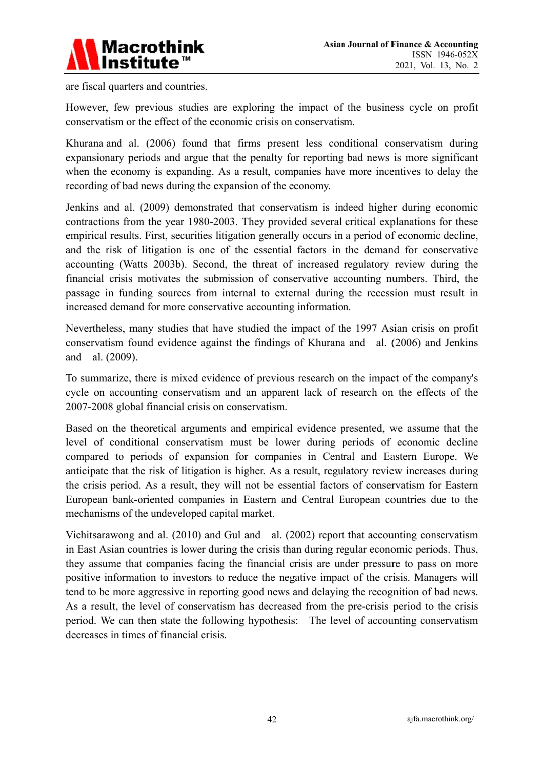

are fiscal quarters and countries.

However, few previous studies are exploring the impact of the business cycle on profit conservatism or the effect of the economic crisis on conservatism.

Khurana and al. (2006) found that firms present less conditional conservatism during expansionary periods and argue that the penalty for reporting bad news is more significant when the economy is expanding. As a result, companies have more incentives to delay the recording of bad news during the expansion of the economy.

Jenkins and al. (2009) demonstrated that conservatism is indeed higher during economic contractions from the year 1980-2003. They provided several critical explanations for these empirical results. First, securities litigation generally occurs in a period of economic decline, and the risk of litigation is one of the essential factors in the demand for conservative accounting (Watts 2003b). Second, the threat of increased regulatory review during the financial crisis motivates the submission of conservative accounting numbers. Third, the passage in funding sources from internal to external during the recession must result in increased demand for more conservative accounting information.

Nevertheless, many studies that have studied the impact of the 1997 Asian crisis on profit conservatism found evidence against the findings of Khurana and al. (2006) and Jenkins and al. (2009).

To summarize, there is mixed evidence of previous research on the impact of the company's cycle on accounting conservatism and an apparent lack of research on the effects of the 2007-2008 global financial crisis on conservatism.

Based on the theoretical arguments and empirical evidence presented, we assume that the level of conditional conservatism must be lower during periods of economic decline compared to periods of expansion for companies in Central and Eastern Europe. We anticipate that the risk of litigation is higher. As a result, regulatory review increases during the crisis period. As a result, they will not be essential factors of conservatism for Eastern European bank-oriented companies in Eastern and Central European countries due to the mechanisms of the undeveloped capital market.

Vichitsarawong and al. (2010) and Gul and al. (2002) report that accounting conservatism in East Asian countries is lower during the crisis than during regular economic periods. Thus, they assume that companies facing the financial crisis are under pressure to pass on more positive information to investors to reduce the negative impact of the crisis. Managers will tend to be more aggressive in reporting good news and delaying the recognition of bad news. As a result, the level of conservatism has decreased from the pre-crisis period to the crisis period. We can then state the following hypothesis: The level of accounting conservatism decreases in times of financial crisis.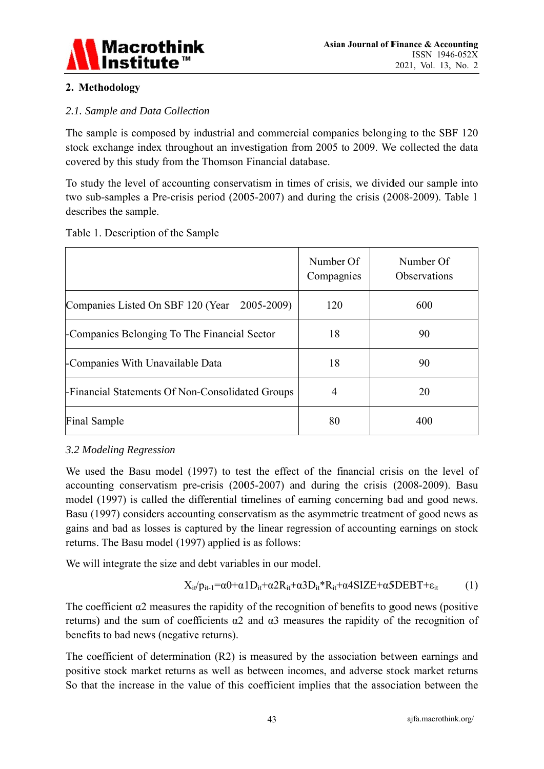

## 2. Methodology

#### 2.1. Sample and Data Collection

The sample is composed by industrial and commercial companies belonging to the SBF 120 stock exchange index throughout an investigation from 2005 to 2009. We collected the data covered by this study from the Thomson Financial database.

To study the level of accounting conservatism in times of crisis, we divided our sample into two sub-samples a Pre-crisis period (2005-2007) and during the crisis (2008-2009). Table 1 describes the sample.

|                                                  | Number Of<br>Compagnies | Number Of<br><b>Observations</b> |
|--------------------------------------------------|-------------------------|----------------------------------|
| Companies Listed On SBF 120 (Year 2005-2009)     | 120                     | 600                              |
| -Companies Belonging To The Financial Sector     | 18                      | 90                               |
| -Companies With Unavailable Data                 | 18                      | 90                               |
| -Financial Statements Of Non-Consolidated Groups | $\overline{4}$          | 20                               |
| <b>Final Sample</b>                              | 80                      | 400                              |

Table 1. Description of the Sample

## 3.2 Modeling Regression

We used the Basu model (1997) to test the effect of the financial crisis on the level of accounting conservatism pre-crisis (2005-2007) and during the crisis (2008-2009). Basu model (1997) is called the differential timelines of earning concerning bad and good news. Basu (1997) considers accounting conservatism as the asymmetric treatment of good news as gains and bad as losses is captured by the linear regression of accounting earnings on stock returns. The Basu model (1997) applied is as follows:

We will integrate the size and debt variables in our model.

$$
X_{it'}p_{it\text{-}1} = \alpha 0 + \alpha 1 D_{it} + \alpha 2 R_{it} + \alpha 3 D_{it} * R_{it} + \alpha 4 SIZE + \alpha 5 DEBT + \epsilon_{it} \tag{1}
$$

The coefficient  $\alpha$ 2 measures the rapidity of the recognition of benefits to good news (positive returns) and the sum of coefficients  $\alpha$ 2 and  $\alpha$ 3 measures the rapidity of the recognition of benefits to bad news (negative returns).

The coefficient of determination (R2) is measured by the association between earnings and positive stock market returns as well as between incomes, and adverse stock market returns So that the increase in the value of this coefficient implies that the association between the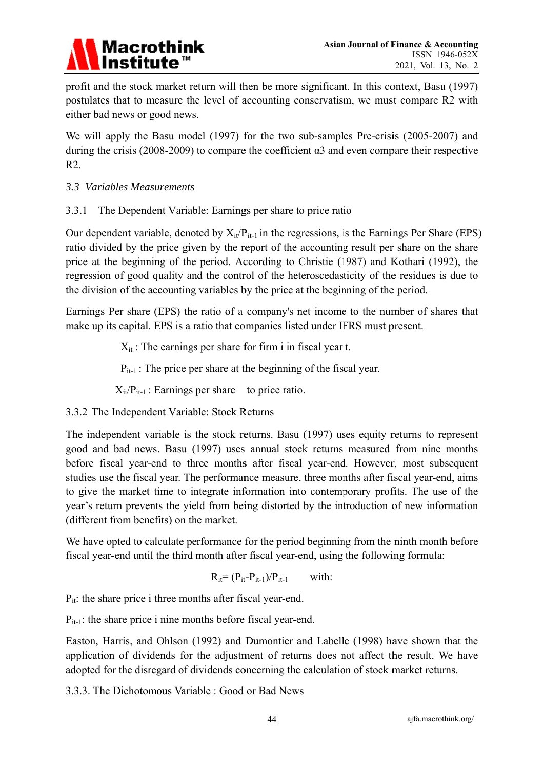

profit and the stock market return will then be more significant. In this context, Basu (1997) postulates that to measure the level of accounting conservatism, we must compare R2 with either bad news or good news.

We will apply the Basu model (1997) for the two sub-samples Pre-crisis (2005-2007) and during the crisis (2008-2009) to compare the coefficient  $\alpha$ 3 and even compare their respective  $R2.$ 

3.3 Variables Measurements

The Dependent Variable: Earnings per share to price ratio  $3.3.1$ 

Our dependent variable, denoted by  $X_{it}/P_{it-1}$  in the regressions, is the Earnings Per Share (EPS) ratio divided by the price given by the report of the accounting result per share on the share price at the beginning of the period. According to Christie (1987) and Kothari (1992), the regression of good quality and the control of the heteroscedasticity of the residues is due to the division of the accounting variables by the price at the beginning of the period.

Earnings Per share (EPS) the ratio of a company's net income to the number of shares that make up its capital. EPS is a ratio that companies listed under IFRS must present.

 $X_{it}$ : The earnings per share for firm i in fiscal year t.

 $P_{it-1}$ : The price per share at the beginning of the fiscal year.

 $X_{it}/P_{it-1}$ : Earnings per share to price ratio.

3.3.2 The Independent Variable: Stock Returns

The independent variable is the stock returns. Basu (1997) uses equity returns to represent good and bad news. Basu (1997) uses annual stock returns measured from nine months before fiscal year-end to three months after fiscal year-end. However, most subsequent studies use the fiscal year. The performance measure, three months after fiscal year-end, aims to give the market time to integrate information into contemporary profits. The use of the year's return prevents the yield from being distorted by the introduction of new information (different from benefits) on the market.

We have opted to calculate performance for the period beginning from the ninth month before fiscal year-end until the third month after fiscal year-end, using the following formula:

$$
R_{it}=(P_{it}-P_{it-1})/P_{it-1}\qquad \text{ with:}\qquad
$$

 $P_{it}$ : the share price i three months after fiscal year-end.

 $P_{it-1}$ : the share price i nine months before fiscal year-end.

Easton, Harris, and Ohlson (1992) and Dumontier and Labelle (1998) have shown that the application of dividends for the adjustment of returns does not affect the result. We have adopted for the disregard of dividends concerning the calculation of stock market returns.

3.3.3. The Dichotomous Variable: Good or Bad News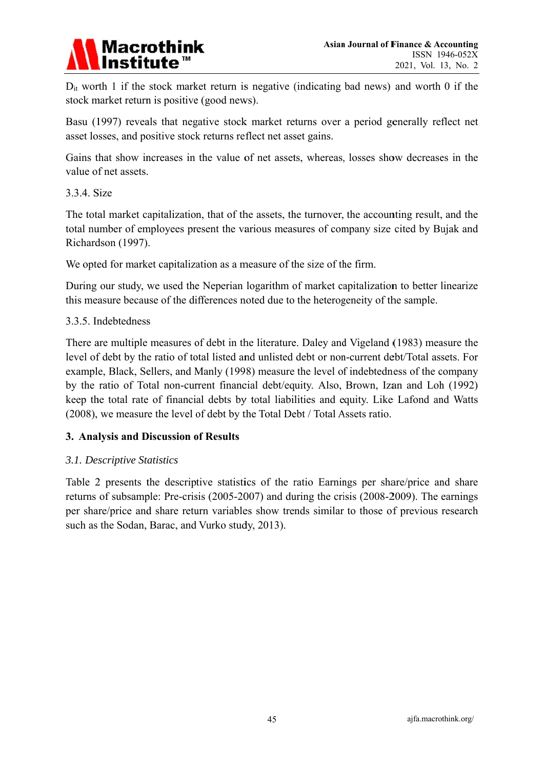# **Macrothink**

 $D_{it}$  worth 1 if the stock market return is negative (indicating bad news) and worth 0 if the stock market return is positive (good news).

Basu (1997) reveals that negative stock market returns over a period generally reflect net asset losses, and positive stock returns reflect net asset gains.

Gains that show increases in the value of net assets, whereas, losses show decreases in the value of net assets.

#### 3.3.4. Size

The total market capitalization, that of the assets, the turnover, the accounting result, and the total number of employees present the various measures of company size cited by Bujak and Richardson (1997).

We opted for market capitalization as a measure of the size of the firm.

During our study, we used the Neperian logarithm of market capitalization to better linearize this measure because of the differences noted due to the heterogeneity of the sample.

#### 3.3.5. Indebtedness

There are multiple measures of debt in the literature. Daley and Vigeland (1983) measure the level of debt by the ratio of total listed and unlisted debt or non-current debt/Total assets. For example, Black, Sellers, and Manly (1998) measure the level of indebtedness of the company by the ratio of Total non-current financial debt/equity. Also, Brown, Izan and Loh (1992) keep the total rate of financial debts by total liabilities and equity. Like Lafond and Watts (2008), we measure the level of debt by the Total Debt / Total Assets ratio.

#### 3. Analysis and Discussion of Results

#### 3.1. Descriptive Statistics

Table 2 presents the descriptive statistics of the ratio Earnings per share/price and share returns of subsample: Pre-crisis (2005-2007) and during the crisis (2008-2009). The earnings per share/price and share return variables show trends similar to those of previous research such as the Sodan, Barac, and Vurko study, 2013).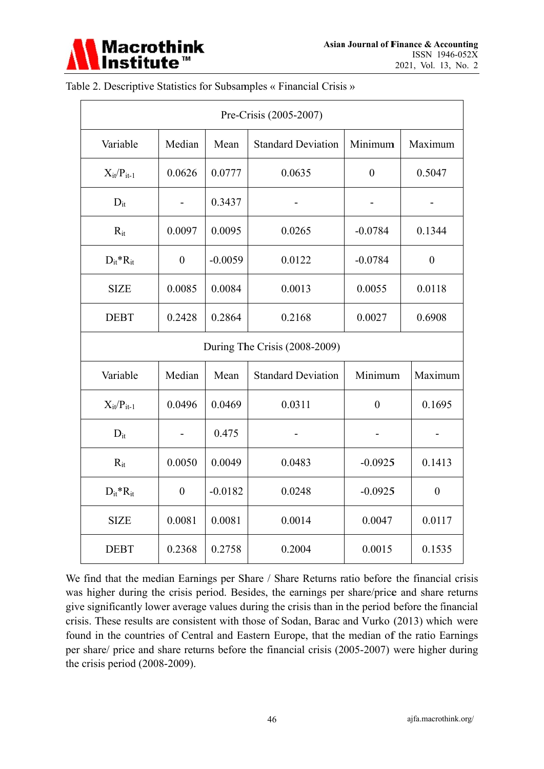

|                               |                  |           | Pre-Crisis (2005-2007)    |                |                  |
|-------------------------------|------------------|-----------|---------------------------|----------------|------------------|
| Variable                      | Median           | Mean      | <b>Standard Deviation</b> | Minimum        | Maximum          |
| $X_{it}/P_{it-1}$             | 0.0626           | 0.0777    | 0.0635                    | $\overline{0}$ | 0.5047           |
| $D_{it}$                      |                  | 0.3437    |                           |                |                  |
| $R_{it}$                      | 0.0097           | 0.0095    | 0.0265                    | $-0.0784$      | 0.1344           |
| $D_{it}^*R_{it}$              | $\boldsymbol{0}$ | $-0.0059$ | 0.0122                    | $-0.0784$      | $\boldsymbol{0}$ |
| <b>SIZE</b>                   | 0.0085           | 0.0084    | 0.0013                    | 0.0055         | 0.0118           |
| <b>DEBT</b>                   | 0.2428           | 0.2864    | 0.2168                    | 0.0027         | 0.6908           |
| During The Crisis (2008-2009) |                  |           |                           |                |                  |
| Variable                      | Median           | Mean      | <b>Standard Deviation</b> | Minimum        | Maximum          |
| $X_{it}/P_{it-1}$             | 0.0496           | 0.0469    | 0.0311                    | $\overline{0}$ | 0.1695           |
| $D_{it}$                      |                  | 0.475     |                           |                |                  |
| $R_{it}$                      | 0.0050           | 0.0049    | 0.0483                    | $-0.0925$      | 0.1413           |
| $D_{it}^*R_{it}$              | $\boldsymbol{0}$ | $-0.0182$ | 0.0248                    | $-0.0925$      | $\theta$         |
| <b>SIZE</b>                   | 0.0081           | 0.0081    | 0.0014                    | 0.0047         | 0.0117           |
| <b>DEBT</b>                   | 0.2368           | 0.2758    | 0.2004                    | 0.0015         | 0.1535           |

Table 2. Descriptive Statistics for Subsamples « Financial Crisis »

We find that the median Earnings per Share / Share Returns ratio before the financial crisis was higher during the crisis period. Besides, the earnings per share/price and share returns give significantly lower average values during the crisis than in the period before the financial crisis. These results are consistent with those of Sodan, Barac and Vurko (2013) which were found in the countries of Central and Eastern Europe, that the median of the ratio Earnings per share/ price and share returns before the financial crisis (2005-2007) were higher during the crisis period  $(2008-2009)$ .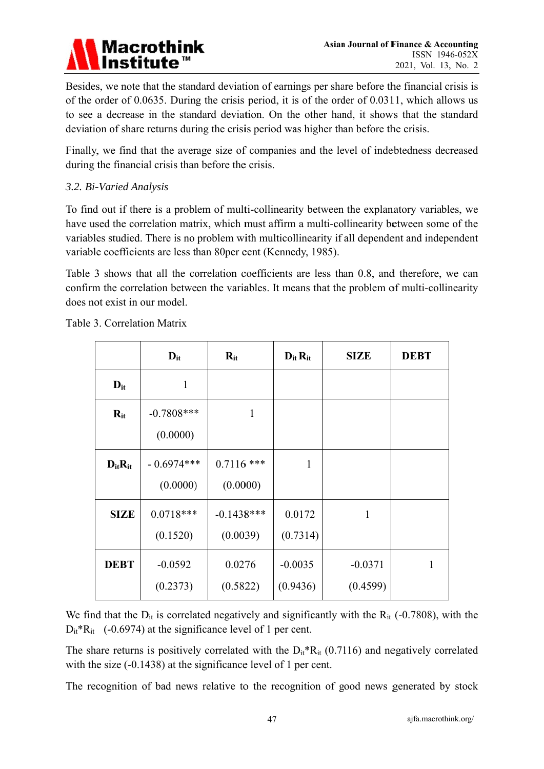

Besides, we note that the standard deviation of earnings per share before the financial crisis is of the order of 0.0635. During the crisis period, it is of the order of 0.0311, which allows us to see a decrease in the standard deviation. On the other hand, it shows that the standard deviation of share returns during the crisis period was higher than before the crisis.

Finally, we find that the average size of companies and the level of indebtedness decreased during the financial crisis than before the crisis.

#### 3.2. Bi-Varied Analysis

To find out if there is a problem of multi-collinearity between the explanatory variables, we have used the correlation matrix, which must affirm a multi-collinearity between some of the variables studied. There is no problem with multicollinearity if all dependent and independent variable coefficients are less than 80 per cent (Kennedy, 1985).

Table 3 shows that all the correlation coefficients are less than 0.8, and therefore, we can confirm the correlation between the variables. It means that the problem of multi-collinearity does not exist in our model.

|                | $D_{it}$                 | $R_{it}$                 | $D_{it}R_{it}$        | <b>SIZE</b>           | <b>DEBT</b> |
|----------------|--------------------------|--------------------------|-----------------------|-----------------------|-------------|
| $D_{it}$       | $\mathbf{1}$             |                          |                       |                       |             |
| $R_{it}$       | $-0.7808***$<br>(0.0000) | $\mathbf{1}$             |                       |                       |             |
| $D_{it}R_{it}$ | $-0.6974***$<br>(0.0000) | $0.7116$ ***<br>(0.0000) | $\mathbf{1}$          |                       |             |
| <b>SIZE</b>    | $0.0718***$<br>(0.1520)  | $-0.1438***$<br>(0.0039) | 0.0172<br>(0.7314)    | $\mathbf{1}$          |             |
| <b>DEBT</b>    | $-0.0592$<br>(0.2373)    | 0.0276<br>(0.5822)       | $-0.0035$<br>(0.9436) | $-0.0371$<br>(0.4599) | 1           |

Table 3. Correlation Matrix

We find that the  $D_{it}$  is correlated negatively and significantly with the  $R_{it}$  (-0.7808), with the  $D_{it}^*R_{it}$  (-0.6974) at the significance level of 1 per cent.

The share returns is positively correlated with the  $D_{it}^*R_{it}$  (0.7116) and negatively correlated with the size  $(-0.1438)$  at the significance level of 1 per cent.

The recognition of bad news relative to the recognition of good news generated by stock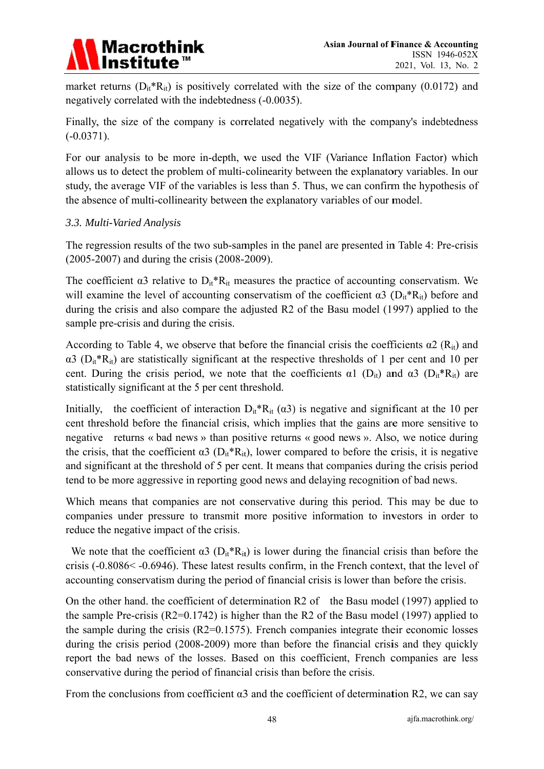

market returns  $(D_{it} * R_{it})$  is positively correlated with the size of the company (0.0172) and negatively correlated with the indebtedness (-0.0035).

Finally, the size of the company is correlated negatively with the company's indebtedness  $(-0.0371)$ .

For our analysis to be more in-depth, we used the VIF (Variance Inflation Factor) which allows us to detect the problem of multi-colinearity between the explanatory variables. In our study, the average VIF of the variables is less than 5. Thus, we can confirm the hypothesis of the absence of multi-collinearity between the explanatory variables of our model.

#### 3.3. Multi-Varied Analysis

The regression results of the two sub-samples in the panel are presented in Table 4: Pre-crisis  $(2005-2007)$  and during the crisis  $(2008-2009)$ .

The coefficient  $\alpha$ 3 relative to  $D_{it}^*R_{it}$  measures the practice of accounting conservatism. We will examine the level of accounting conservatism of the coefficient  $\alpha$ 3 ( $D_{it}^*R_{it}$ ) before and during the crisis and also compare the adjusted R2 of the Basu model (1997) applied to the sample pre-crisis and during the crisis.

According to Table 4, we observe that before the financial crisis the coefficients  $\alpha$ 2 (R<sub>it</sub>) and  $\alpha$ 3 (D<sub>it</sub>\*R<sub>it</sub>) are statistically significant at the respective thresholds of 1 per cent and 10 per cent. During the crisis period, we note that the coefficients  $\alpha$ 1 (D<sub>it</sub>) and  $\alpha$ 3 (D<sub>it</sub>\*R<sub>it</sub>) are statistically significant at the 5 per cent threshold.

Initially, the coefficient of interaction  $D_{it}^*R_{it}(\alpha 3)$  is negative and significant at the 10 per cent threshold before the financial crisis, which implies that the gains are more sensitive to negative returns « bad news » than positive returns « good news ». Also, we notice during the crisis, that the coefficient  $\alpha$ 3 ( $D_{it}$ <sup>\*</sup>R<sub>it</sub>), lower compared to before the crisis, it is negative and significant at the threshold of 5 per cent. It means that companies during the crisis period tend to be more aggressive in reporting good news and delaying recognition of bad news.

Which means that companies are not conservative during this period. This may be due to companies under pressure to transmit more positive information to investors in order to reduce the negative impact of the crisis.

We note that the coefficient  $\alpha$ 3 (D<sub>it</sub>\*R<sub>it</sub>) is lower during the financial crisis than before the crisis (-0.8086< -0.6946). These latest results confirm, in the French context, that the level of accounting conservatism during the period of financial crisis is lower than before the crisis.

On the other hand, the coefficient of determination R2 of the Basu model (1997) applied to the sample Pre-crisis ( $R2=0.1742$ ) is higher than the R2 of the Basu model (1997) applied to the sample during the crisis ( $R2=0.1575$ ). French companies integrate their economic losses during the crisis period (2008-2009) more than before the financial crisis and they quickly report the bad news of the losses. Based on this coefficient, French companies are less conservative during the period of financial crisis than before the crisis.

From the conclusions from coefficient  $\alpha$ 3 and the coefficient of determination R2, we can say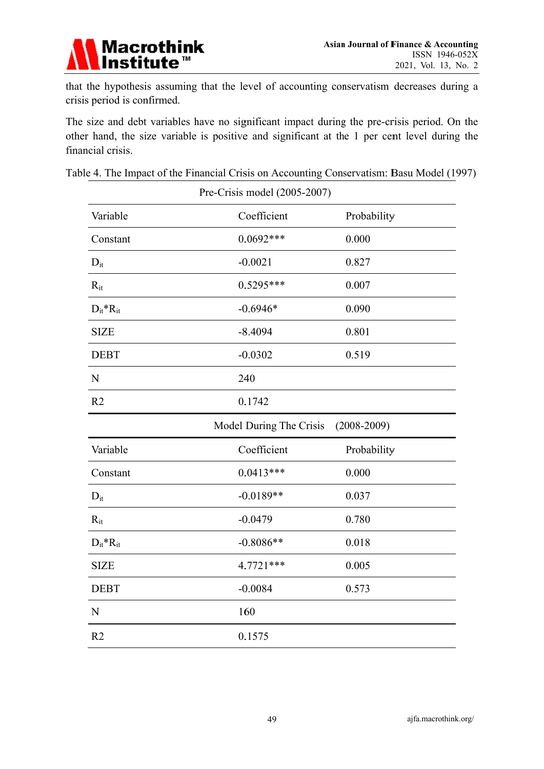

that the hypothesis assuming that the level of accounting conservatism decreases during a crisis period is confirmed.

The size and debt variables have no significant impact during the pre-crisis period. On the other hand, the size variable is positive and significant at the 1 per cent level during the financial crisis.

|                  | Pre-Crisis model (2005-2007) |                 |
|------------------|------------------------------|-----------------|
| Variable         | Coefficient                  | Probability     |
| Constant         | $0.0692***$                  | 0.000           |
| $D_{it}$         | $-0.0021$                    | 0.827           |
| $R_{it}$         | $0.5295***$                  | 0.007           |
| $D_{it}^*R_{it}$ | $-0.6946*$                   | 0.090           |
| <b>SIZE</b>      | $-8.4094$                    | 0.801           |
| <b>DEBT</b>      | $-0.0302$                    | 0.519           |
| $\mathbf N$      | 240                          |                 |
| R <sub>2</sub>   | 0.1742                       |                 |
|                  |                              |                 |
|                  | Model During The Crisis      | $(2008 - 2009)$ |
| Variable         | Coefficient                  | Probability     |
| Constant         | $0.0413***$                  | 0.000           |
| $D_{it}$         | $-0.0189**$                  | 0.037           |
| $R_{it}$         | $-0.0479$                    | 0.780           |
| $D_{it}^*R_{it}$ | $-0.8086**$                  | 0.018           |
| <b>SIZE</b>      | 4.7721 ***                   | 0.005           |
| <b>DEBT</b>      | $-0.0084$                    | 0.573           |
| N                | 160                          |                 |

Table 4. The Impact of the Financial Crisis on Accounting Conservatism: Basu Model (1997)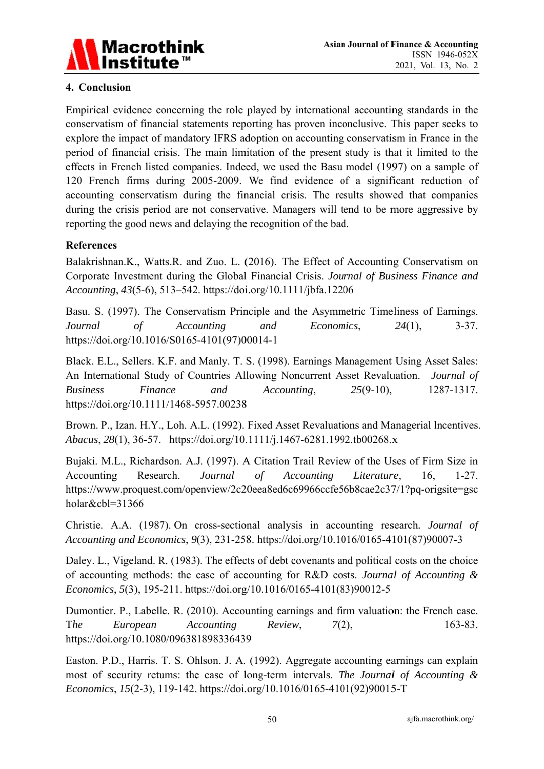

#### 4. Conclusion

Empirical evidence concerning the role played by international accounting standards in the conservatism of financial statements reporting has proven inconclusive. This paper seeks to explore the impact of mandatory IFRS adoption on accounting conservatism in France in the period of financial crisis. The main limitation of the present study is that it limited to the effects in French listed companies. Indeed, we used the Basu model (1997) on a sample of 120 French firms during 2005-2009. We find evidence of a significant reduction of accounting conservatism during the financial crisis. The results showed that companies during the crisis period are not conservative. Managers will tend to be more aggressive by reporting the good news and delaying the recognition of the bad.

#### **References**

Balakrishnan.K., Watts.R. and Zuo. L. (2016). The Effect of Accounting Conservatism on Corporate Investment during the Global Financial Crisis. Journal of Business Finance and Accounting, 43(5-6), 513–542. https://doi.org/10.1111/jbfa.12206

Basu. S. (1997). The Conservatism Principle and the Asymmetric Timeliness of Earnings. Journal  $\sigma f$ **Accounting** and Economics.  $24(1)$ ,  $3 - 37$ . https://doi.org/10.1016/S0165-4101(97)00014-1

Black. E.L., Sellers. K.F. and Manly. T. S. (1998). Earnings Management Using Asset Sales: An International Study of Countries Allowing Noncurrent Asset Revaluation. Journal of Finance **Business** and Accounting.  $25(9-10)$ , 1287-1317. https://doi.org/10.1111/1468-5957.00238

Brown. P., Izan. H.Y., Loh. A.L. (1992). Fixed Asset Revaluations and Managerial Incentives. Abacus, 28(1), 36-57. https://doi.org/10.1111/j.1467-6281.1992.tb00268.x

Bujaki. M.L., Richardson. A.J. (1997). A Citation Trail Review of the Uses of Firm Size in Accounting Research. Journal  $\sigma f$ Accounting Literature. 16.  $1-27.$ https://www.proquest.com/openview/2c20eea8ed6c69966ccfe56b8cae2c37/1?pq-origsite=gsc holar&cbl=31366

Christie. A.A. (1987). On cross-sectional analysis in accounting research. *Journal of* Accounting and Economics, 9(3), 231-258. https://doi.org/10.1016/0165-4101(87)90007-3

Daley. L., Vigeland. R. (1983). The effects of debt covenants and political costs on the choice of accounting methods: the case of accounting for R&D costs. Journal of Accounting  $\&$ *Economics*, 5(3), 195-211. https://doi.org/10.1016/0165-4101(83)90012-5

Dumontier. P., Labelle. R. (2010). Accounting earnings and firm valuation: the French case. The European **Accounting** Review.  $7(2)$ ,  $163 - 83.$ https://doi.org/10.1080/096381898336439

Easton. P.D., Harris. T. S. Ohlson. J. A. (1992). Aggregate accounting earnings can explain most of security retums: the case of long-term intervals. The Journal of Accounting & Economics, 15(2-3), 119-142. https://doi.org/10.1016/0165-4101(92)90015-T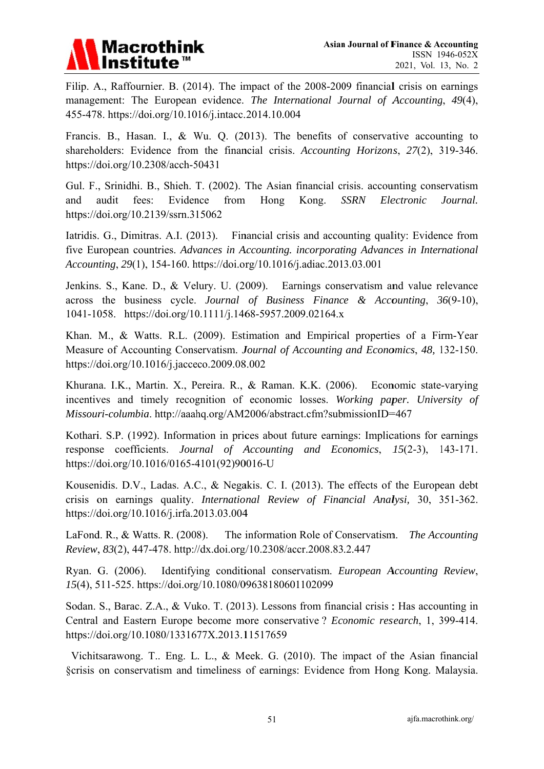

Filip. A., Raffournier. B. (2014). The impact of the 2008-2009 financial crisis on earnings management: The European evidence. The International Journal of Accounting, 49(4), 455-478. https://doi.org/10.1016/j.intacc.2014.10.004

Francis. B., Hasan. I., & Wu. O. (2013). The benefits of conservative accounting to shareholders: Evidence from the financial crisis. Accounting Horizons, 27(2), 319-346. https://doi.org/10.2308/acch-50431

Gul. F., Srinidhi. B., Shieh. T. (2002). The Asian financial crisis. accounting conservatism audit fees: Evidence from Hong Kong. **SSRN** Electronic and Journal. https://doi.org/10.2139/ssrn.315062

Iatridis. G., Dimitras. A.I. (2013). Financial crisis and accounting quality: Evidence from five European countries. Advances in Accounting, incorporating Advances in International Accounting, 29(1), 154-160. https://doi.org/10.1016/j.adiac.2013.03.001

Jenkins, S., Kane, D., & Velury, U. (2009). Earnings conservatism and value relevance across the business cycle. Journal of Business Finance & Accounting, 36(9-10), 1041-1058. https://doi.org/10.1111/j.1468-5957.2009.02164.x

Khan, M., & Watts, R.L. (2009). Estimation and Empirical properties of a Firm-Year Measure of Accounting Conservatism. Journal of Accounting and Economics, 48, 132-150. https://doi.org/10.1016/j.jacceco.2009.08.002

Khurana. I.K., Martin. X., Pereira. R., & Raman. K.K. (2006). Economic state-varying incentives and timely recognition of economic losses. Working paper. University of Missouri-columbia. http://aaahq.org/AM2006/abstract.cfm?submissionID=467

Kothari. S.P. (1992). Information in prices about future earnings: Implications for earnings response coefficients. Journal of Accounting and Economics, 15(2-3), 143-171. https://doi.org/10.1016/0165-4101(92)90016-U

Kousenidis. D.V., Ladas. A.C., & Negakis. C. I. (2013). The effects of the European debt crisis on earnings quality. International Review of Financial Analysi, 30, 351-362. https://doi.org/10.1016/j.irfa.2013.03.004

LaFond, R., & Watts, R. (2008). The information Role of Conservatism. The Accounting Review, 83(2), 447-478. http://dx.doi.org/10.2308/accr.2008.83.2.447

Identifying conditional conservatism. European Accounting Review, Ryan. G. (2006). 15(4), 511-525. https://doi.org/10.1080/09638180601102099

Sodan. S., Barac. Z.A., & Vuko. T. (2013). Lessons from financial crisis: Has accounting in Central and Eastern Europe become more conservative? Economic research, 1, 399-414. https://doi.org/10.1080/1331677X.2013.11517659

Vichitsarawong. T., Eng. L. L., & Meek. G. (2010). The impact of the Asian financial §crisis on conservatism and timeliness of earnings: Evidence from Hong Kong. Malaysia.